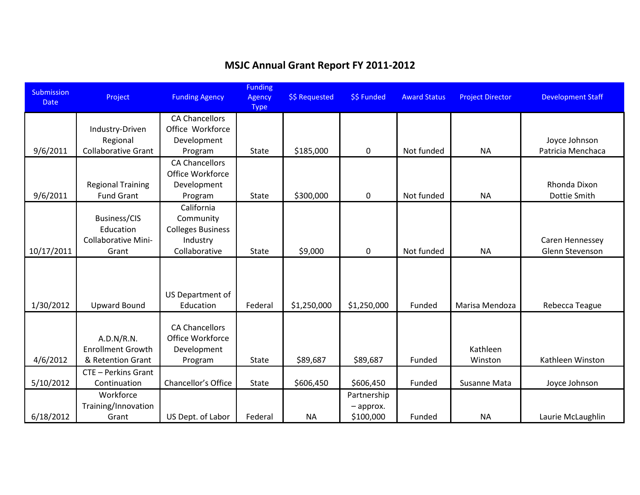| Submission<br><b>Date</b> | Project                    | <b>Funding Agency</b>    | <b>Funding</b><br><b>Agency</b><br>Type | \$\$ Requested | \$\$ Funded | <b>Award Status</b> | <b>Project Director</b> | <b>Development Staff</b> |
|---------------------------|----------------------------|--------------------------|-----------------------------------------|----------------|-------------|---------------------|-------------------------|--------------------------|
|                           |                            | <b>CA Chancellors</b>    |                                         |                |             |                     |                         |                          |
|                           | Industry-Driven            | Office Workforce         |                                         |                |             |                     |                         |                          |
|                           | Regional                   | Development              |                                         |                |             |                     |                         | Joyce Johnson            |
| 9/6/2011                  | <b>Collaborative Grant</b> | Program                  | <b>State</b>                            | \$185,000      | $\mathbf 0$ | Not funded          | <b>NA</b>               | Patricia Menchaca        |
|                           |                            | <b>CA Chancellors</b>    |                                         |                |             |                     |                         |                          |
|                           |                            | Office Workforce         |                                         |                |             |                     |                         |                          |
|                           | <b>Regional Training</b>   | Development              |                                         |                |             |                     |                         | Rhonda Dixon             |
| 9/6/2011                  | <b>Fund Grant</b>          | Program                  | State                                   | \$300,000      | $\mathbf 0$ | Not funded          | <b>NA</b>               | Dottie Smith             |
|                           |                            | California               |                                         |                |             |                     |                         |                          |
|                           | <b>Business/CIS</b>        | Community                |                                         |                |             |                     |                         |                          |
|                           | Education                  | <b>Colleges Business</b> |                                         |                |             |                     |                         |                          |
|                           | <b>Collaborative Mini-</b> | Industry                 |                                         |                |             |                     |                         | Caren Hennessey          |
| 10/17/2011                | Grant                      | Collaborative            | <b>State</b>                            | \$9,000        | 0           | Not funded          | <b>NA</b>               | Glenn Stevenson          |
|                           |                            |                          |                                         |                |             |                     |                         |                          |
|                           |                            |                          |                                         |                |             |                     |                         |                          |
|                           |                            | US Department of         |                                         |                |             |                     |                         |                          |
| 1/30/2012                 | <b>Upward Bound</b>        | Education                | Federal                                 | \$1,250,000    | \$1,250,000 | Funded              | Marisa Mendoza          | Rebecca Teague           |
|                           |                            |                          |                                         |                |             |                     |                         |                          |
|                           |                            | <b>CA Chancellors</b>    |                                         |                |             |                     |                         |                          |
|                           | A.D.N/R.N.                 | Office Workforce         |                                         |                |             |                     |                         |                          |
|                           | <b>Enrollment Growth</b>   | Development              |                                         |                |             |                     | Kathleen                |                          |
| 4/6/2012                  | & Retention Grant          | Program                  | State                                   | \$89,687       | \$89,687    | Funded              | Winston                 | Kathleen Winston         |
|                           | CTE - Perkins Grant        |                          |                                         |                |             |                     |                         |                          |
| 5/10/2012                 | Continuation               | Chancellor's Office      | State                                   | \$606,450      | \$606,450   | Funded              | Susanne Mata            | Joyce Johnson            |
|                           | Workforce                  |                          |                                         |                | Partnership |                     |                         |                          |
|                           | Training/Innovation        |                          |                                         |                | $-$ approx. |                     |                         |                          |
| 6/18/2012                 | Grant                      | US Dept. of Labor        | Federal                                 | <b>NA</b>      | \$100,000   | Funded              | <b>NA</b>               | Laurie McLaughlin        |

## **MSJC Annual Grant Report FY 2011-2012**